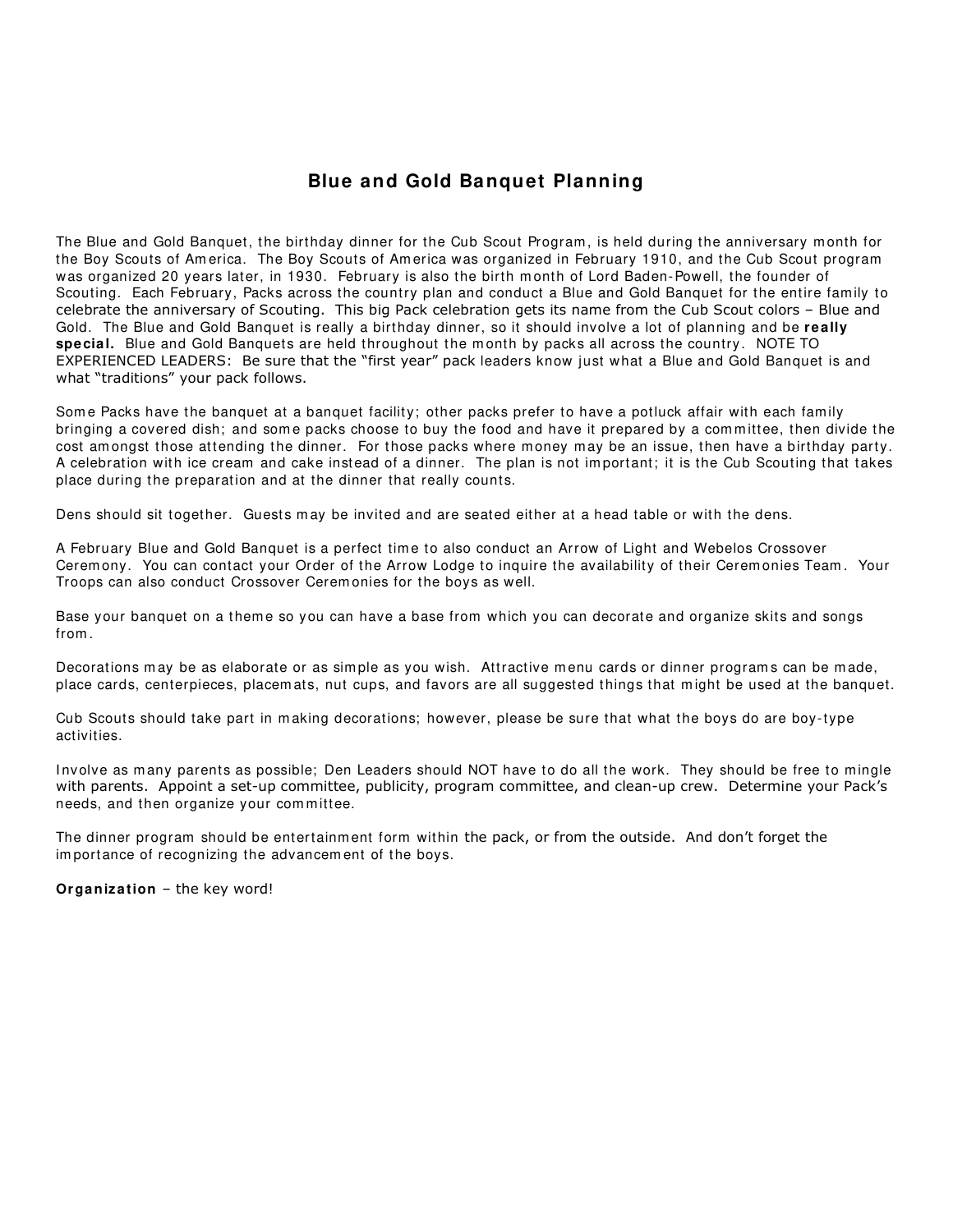# **Blue and Gold Banquet Planning**

The Blue and Gold Banquet, the birthday dinner for the Cub Scout Program , is held during the anniversary m onth for the Boy Scouts of Am erica. The Boy Scouts of Am erica was organized in February 1910, and the Cub Scout program was organized 20 years later, in 1930. February is also the birth month of Lord Baden-Powell, the founder of Scouting. Each February, Packs across the country plan and conduct a Blue and Gold Banquet for the entire family to celebrate the anniversary of Scouting. This big Pack celebration gets its name from the Cub Scout colors - Blue and Gold. The Blue and Gold Banquet is really a birthday dinner, so it should involve a lot of planning and be **really special.** Blue and Gold Banquets are held throughout the m onth by packs all across the country. NOTE TO EXPERIENCED LEADERS: Be sure that the "first year" pack leaders know just what a Blue and Gold Banquet is and what "traditions" your pack follows.

Some Packs have the banquet at a banquet facility; other packs prefer to have a potluck affair with each family bringing a covered dish; and some packs choose to buy the food and have it prepared by a committee, then divide the cost amongst those attending the dinner. For those packs where money may be an issue, then have a birthday party. A celebration with ice cream and cake instead of a dinner. The plan is not im portant; it is the Cub Scouting that takes place during the preparation and at the dinner that really counts.

Dens should sit together. Guests m ay be invited and are seated either at a head table or with the dens.

A February Blue and Gold Banquet is a perfect time to also conduct an Arrow of Light and Webelos Crossover Cerem ony. You can contact your Order of the Arrow Lodge to inquire the availability of their Ceremonies Team. Your Troops can also conduct Crossover Cerem onies for the boys as well.

Base your banquet on a theme so you can have a base from which you can decorate and organize skits and songs from .

Decorations may be as elaborate or as simple as you wish. Attractive menu cards or dinner programs can be made, place cards, centerpieces, placem ats, nut cups, and favors are all suggested things that m ight be used at the banquet.

Cub Scouts should take part in m aking decorations; however, please be sure that what the boys do are boy-type activities.

Involve as many parents as possible; Den Leaders should NOT have to do all the work. They should be free to mingle with parents. Appoint a set-up committee, publicity, program committee, and clean-up crew. Determine your Pack's needs, and then organize your committee.

The dinner program should be entertainment form within the pack, or from the outside. And don't forget the im portance of recognizing the advancem ent of the boys.

**Organization** - the key word!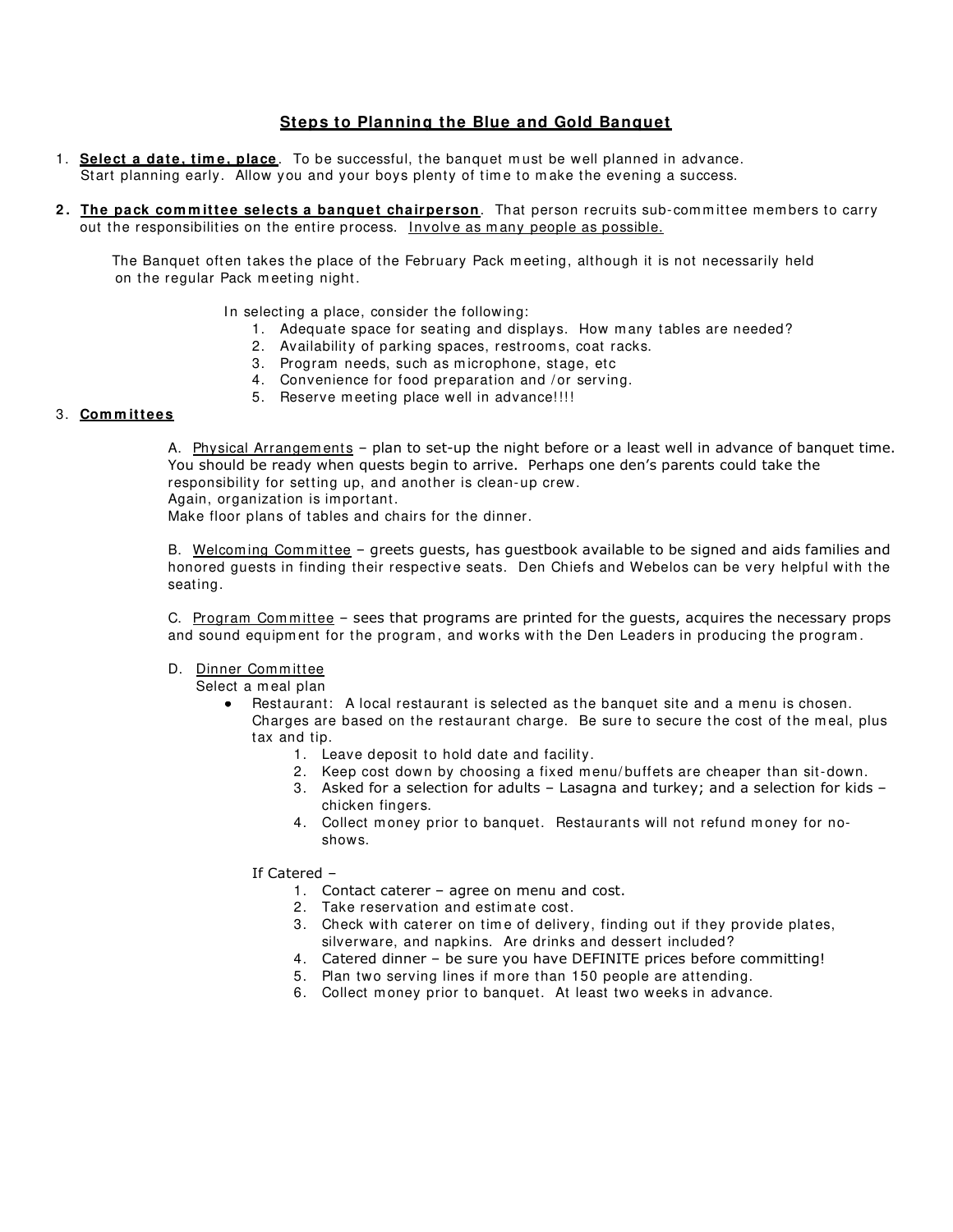## **Steps to Planning the Blue and Gold Banquet**

- 1. **Select a date, tim e, place** . To be successful, the banquet m ust be well planned in advance. Start planning early. Allow you and your boys plenty of time to make the evening a success.
- 2. The pack committee selects a banquet chairperson. That person recruits sub-committee members to carry out the responsibilities on the entire process. Involve as many people as possible.

 The Banquet often takes the place of the February Pack m eeting, although it is not necessarily held on the regular Pack m eeting night.

In selecting a place, consider the following:

- 1. Adequate space for seating and displays. How many tables are needed?
- 2. Availability of parking spaces, restroom s, coat racks.
- 3. Program needs, such as m icrophone, stage, etc
- 4. Convenience for food preparation and /or serving.
- 5. Reserve m eeting place well in advance!!!!

### 3. **Com m ittees**

A. Physical Arrangements - plan to set-up the night before or a least well in advance of banquet time. You should be ready when quests begin to arrive. Perhaps one den's parents could take the responsibility for setting up, and another is clean-up crew. Again, organization is im portant. Make floor plans of tables and chairs for the dinner.

B. Welcoming Committee - greets guests, has guestbook available to be signed and aids families and honored guests in finding their respective seats. Den Chiefs and Webelos can be very helpful with the seating.

C. Program Committee – sees that programs are printed for the quests, acquires the necessary props and sound equipment for the program, and works with the Den Leaders in producing the program.

# D. Dinner Com m ittee

Select a m eal plan

- Restaurant: A local restaurant is selected as the banquet site and a menu is chosen. Charges are based on the restaurant charge. Be sure to secure the cost of the m eal, plus tax and tip.
	- 1. Leave deposit to hold date and facility.
	- 2. Keep cost down by choosing a fixed menu/buffets are cheaper than sit-down.
	- 3. Asked for a selection for adults Lasagna and turkey; and a selection for kids chicken fingers.
	- 4. Collect money prior to banquet. Restaurants will not refund money for noshows.

### If Catered

- 1. Contact caterer agree on menu and cost.
- 2. Take reservation and estim ate cost.
- 3. Check with caterer on time of delivery, finding out if they provide plates, silverware, and napkins. Are drinks and dessert included?
- 4. Catered dinner be sure you have DEFINITE prices before committing!
- 5. Plan two serving lines if m ore than 150 people are attending.
- 6. Collect money prior to banquet. At least two weeks in advance.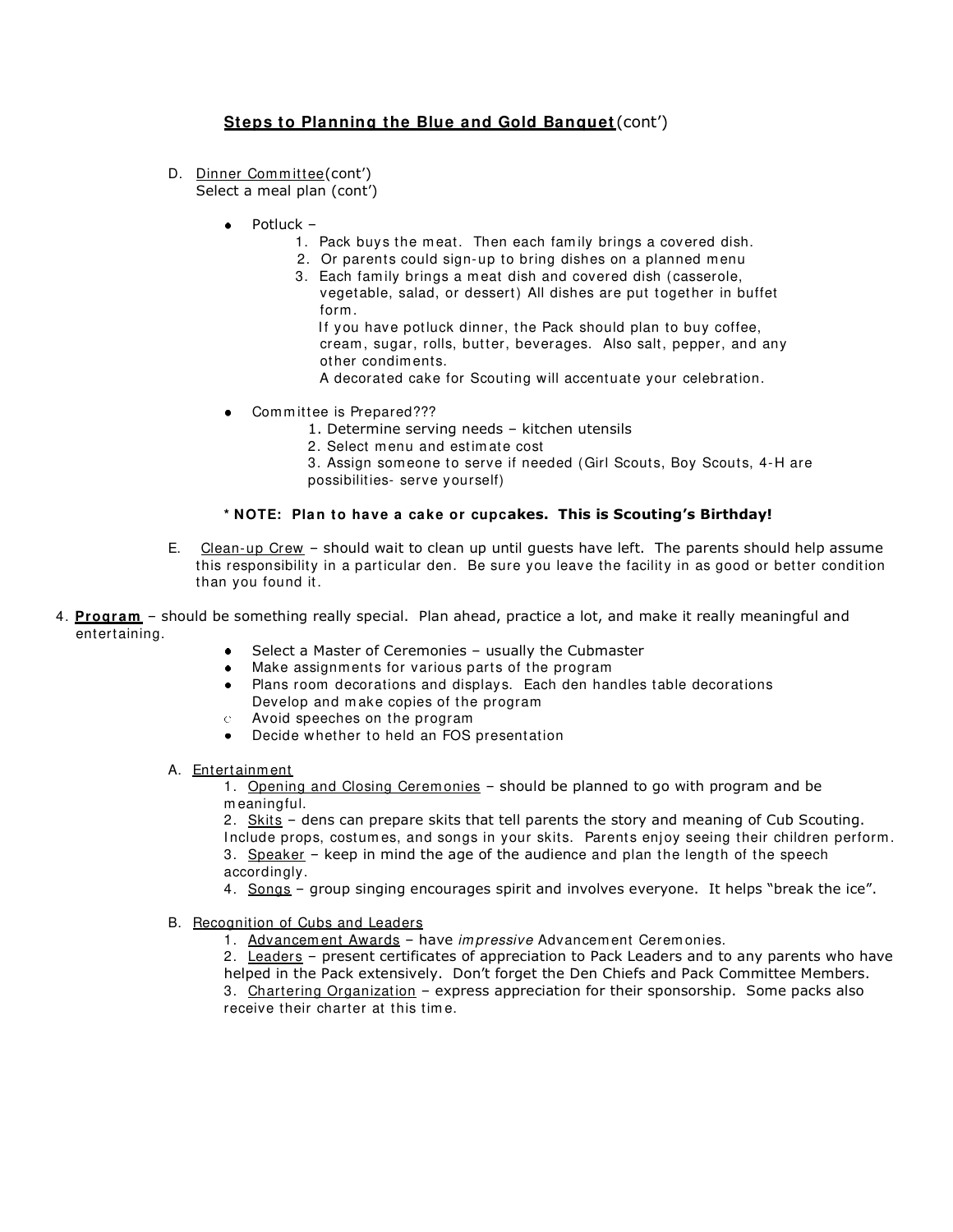# **Steps to Planning the Blue and Gold Banquet** (cont)

- D. Dinner Committee(cont') Select a meal plan (cont')
	- $\bullet$  Potluck
		- 1. Pack buys the m eat. Then each fam ily brings a covered dish.
		- 2. Or parents could sign-up to bring dishes on a planned menu
		- 3. Each fam ily brings a m eat dish and covered dish (casserole, vegetable, salad, or dessert) All dishes are put together in buffet form .

If you have potluck dinner, the Pack should plan to buy coffee, cream , sugar, rolls, butter, beverages. Also salt, pepper, and any other condim ents.

A decorated cake for Scouting will accentuate your celebration.

- Com m ittee is Prepared???
	- 1. Determine serving needs kitchen utensils
	- 2. Select m enu and estim ate cost
	- 3. Assign som eone to serve if needed (Girl Scouts, Boy Scouts, 4-H are possibilities- serve yourself)

## \* NOTE: Plan to have a cake or cupcakes. This is Scouting's Birthday!

- E. Clean-up Crew should wait to clean up until guests have left. The parents should help assume this responsibility in a particular den. Be sure you leave the facility in as good or better condition than you found it.
- 4. **Program** should be something really special. Plan ahead, practice a lot, and make it really meaningful and entertaining.
	- Select a Master of Ceremonies usually the Cubmaster
	- Make assignm ents for various parts of the program
	- Plans room decorations and displays. Each den handles table decorations Develop and m ake copies of the program
	- Avoid speeches on the program
	- Decide whether to held an FOS presentation
	- A. Entertainm ent

1. Opening and Closing Ceremonies - should be planned to go with program and be m eaningful.

2. Skits - dens can prepare skits that tell parents the story and meaning of Cub Scouting. I nclude props, costum es, and songs in your skits. Parents enjoy seeing their children perform . 3. Speaker - keep in mind the age of the audience and plan the length of the speech accordingly.

4. Songs - group singing encourages spirit and involves everyone. It helps "break the ice".

- B. Recognition of Cubs and Leaders
	- 1. Advancem ent Awards have *impressive* Advancement Ceremonies.

2. Leaders - present certificates of appreciation to Pack Leaders and to any parents who have helped in the Pack extensively. Don't forget the Den Chiefs and Pack Committee Members.

3. Chartering Organization express appreciation for their sponsorship. Some packs also receive their charter at this tim e.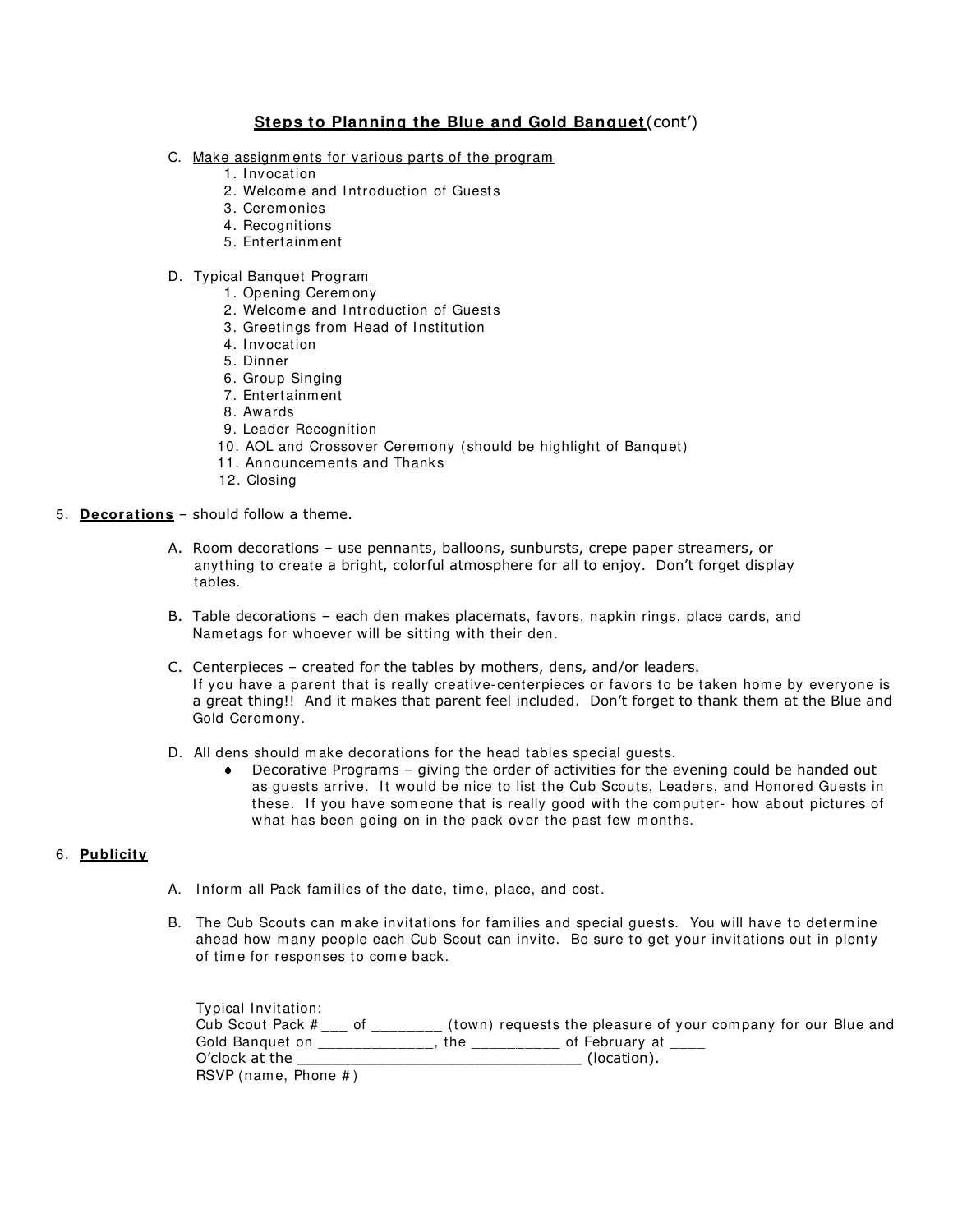## **Steps to Planning the Blue and Gold Banquet** (cont')

- C. Make assignm ents for various parts of the program
	- 1. Invocation
	- 2. Welcome and Introduction of Guests
	- 3. Cerem onies
	- 4. Recognitions
	- 5. Entertainm ent

### D. Typical Banquet Program

- 1. Opening Cerem ony
- 2. Welcome and Introduction of Guests
- 3. Greetings from Head of Institution
- 4. Invocation
- 5. Dinner
- 6. Group Singing
- 7. Entertainm ent
- 8. Awards
- 9. Leader Recognition
- 10. AOL and Crossover Cerem ony (should be highlight of Banquet)
- 11. Announcem ents and Thanks
- 12. Closing
- 5. **Decorations** should follow a theme.
	- A. Room decorations use pennants, balloons, sunbursts, crepe paper streamers, or anything to create a bright, colorful atmosphere for all to enjoy. Don't forget display tables.
	- B. Table decorations each den makes placemats, favors, napkin rings, place cards, and Nam etags for whoever will be sitting with their den.
	- C. Centerpieces created for the tables by mothers, dens, and/or leaders. If you have a parent that is really creative-centerpieces or favors to be taken home by everyone is a great thing!! And it makes that parent feel included. Don't forget to thank them at the Blue and Gold Cerem ony.
	- D. All dens should m ake decorations for the head tables special guests.
		- Decorative Programs giving the order of activities for the evening could be handed out as guests arrive. It would be nice to list the Cub Scouts, Leaders, and Honored Guests in these. If you have someone that is really good with the computer- how about pictures of what has been going on in the pack over the past few months.

## 6. **Publicity**

- A. Inform all Pack families of the date, time, place, and cost.
- B. The Cub Scouts can m ake invitations for fam ilies and special guests. You will have to determ ine ahead how many people each Cub Scout can invite. Be sure to get your invitations out in plenty of time for responses to come back.

| Typical Invitation:       |     |                                                               |  |
|---------------------------|-----|---------------------------------------------------------------|--|
| Cub Scout Pack #<br>— ∩ t |     | (town) requests the pleasure of your company for our Blue and |  |
| Gold Banguet on           | the | of February at                                                |  |
| O'clock at the            |     | (location).                                                   |  |
| RSVP (name, Phone #)      |     |                                                               |  |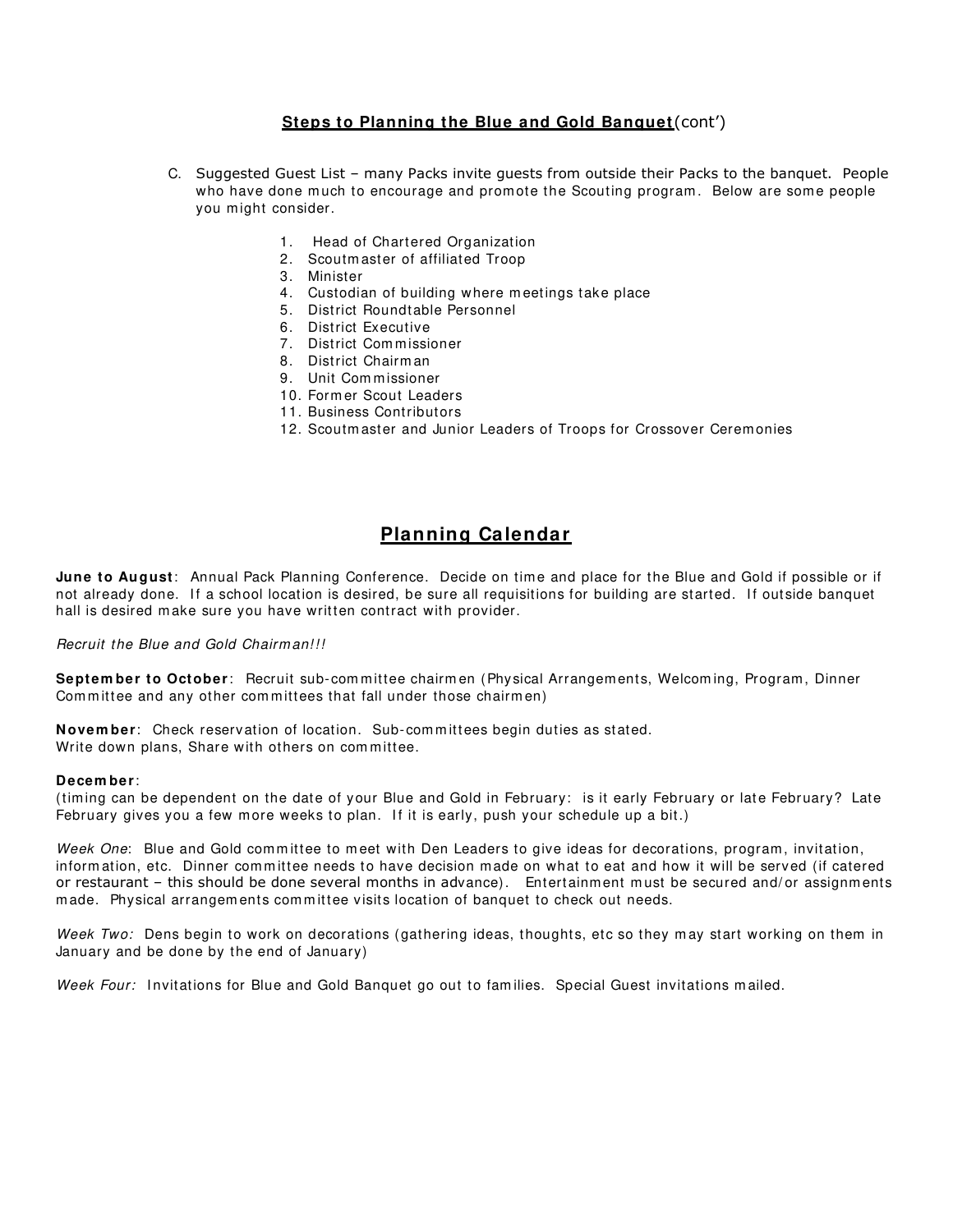## **Steps to Planning the Blue and Gold Banquet** (cont)

- C. Suggested Guest List many Packs invite guests from outside their Packs to the banquet. People who have done much to encourage and promote the Scouting program. Below are some people you might consider.
	- 1. Head of Chartered Organization
	- 2. Scoutm aster of affiliated Troop
	- 3. Minister
	- 4. Custodian of building where m eetings take place
	- 5. District Roundtable Personnel
	- 6. District Executive
	- 7. District Commissioner
	- 8. District Chairm an
	- 9. Unit Commissioner
	- 10. Form er Scout Leaders
	- 11. Business Contributors
	- 12. Scoutm aster and Junior Leaders of Troops for Crossover Cerem onies

# **Planning Calendar**

**June to August**: Annual Pack Planning Conference. Decide on time and place for the Blue and Gold if possible or if not already done. If a school location is desired, be sure all requisitions for building are started. If outside banquet hall is desired m ake sure you have written contract with provider.

*Recruit the Blue and Gold Chairm an!!!*

**Septem ber to October**: Recruit sub-com m ittee chairm en (Physical Arrangem ents, Welcom ing, Program , Dinner Committee and any other committees that fall under those chairmen)

**N ovem ber**: Check reservation of location. Sub-com m ittees begin duties as stated. Write down plans, Share with others on committee.

#### **Decem ber**:

(timing can be dependent on the date of your Blue and Gold in February: is it early February or late February? Late February gives you a few more weeks to plan. If it is early, push your schedule up a bit.)

*Week One*: Blue and Gold committee to meet with Den Leaders to give ideas for decorations, program, invitation, inform ation, etc. Dinner com m ittee needs to have decision m ade on what to eat and how it will be served (if catered or restaurant - this should be done several months in advance). Entertainment must be secured and/ or assignments m ade. Physical arrangem ents com m ittee visits location of banquet to check out needs.

*Week Two:* Dens begin to work on decorations (gathering ideas, thoughts, etc so they m ay start working on them in January and be done by the end of January)

Week Four: Invitations for Blue and Gold Banquet go out to families. Special Guest invitations mailed.